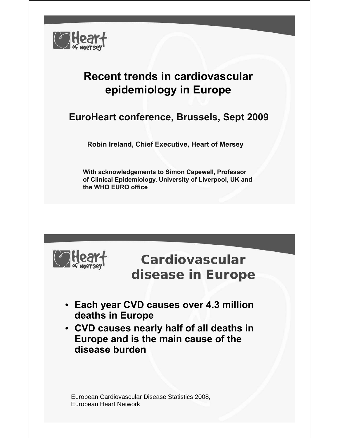

## **Recent trends in cardiovascular epidemiology in Europe**

#### **EuroHeart conference, Brussels, Sept 2009**

**Robin Ireland, Chief Executive, Heart of Mersey**

**With acknowledgements to Simon Capewell, Professor of Clinical Epidemiology, University of Liverpool, UK and the WHO EURO office** 



**Cardiovascular disease in Europe**

- **Each year CVD causes over 4.3 million deaths in Europe deaths in**
- **CVD causes nearly half of all deaths in Europe and is the main cause of the Europe and is the main cause of disease burden**

European Cardiovascular Disease Statistics 2008, European Heart Network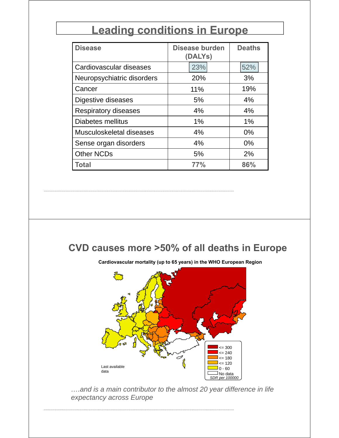## **Leading conditions in Europe**

| <b>Disease</b>              | <b>Disease burden</b><br>(DALYS) | <b>Deaths</b> |
|-----------------------------|----------------------------------|---------------|
| Cardiovascular diseases     | 23%                              | 52%           |
| Neuropsychiatric disorders  | 20%                              | 3%            |
| Cancer                      | 11%                              | 19%           |
| Digestive diseases          | 5%                               | 4%            |
| <b>Respiratory diseases</b> | 4%                               | 4%            |
| Diabetes mellitus           | 1%                               | $1\%$         |
| Musculoskeletal diseases    | 4%                               | 0%            |
| Sense organ disorders       | 4%                               | $0\%$         |
| <b>Other NCDs</b>           | 5%                               | 2%            |
| Total                       | 77%                              | 86%           |

#### **CVD causes more >50% of all deaths in Europe**



**C di l t lit ( t 65 ) i th WHO E R i Cardiovascular mortality (up to 65 years) in the WHO European Region**

*….and is a main contributor to the almost 20 year difference in life*  expectancy across Europe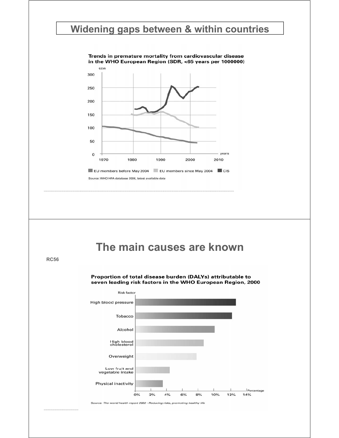#### **Widening gaps between & within countries**

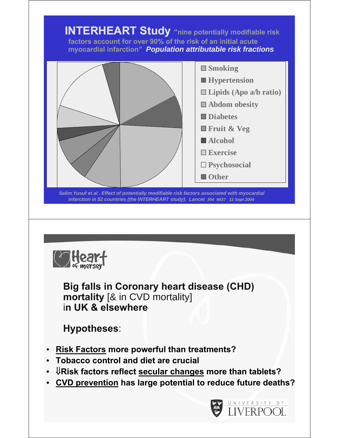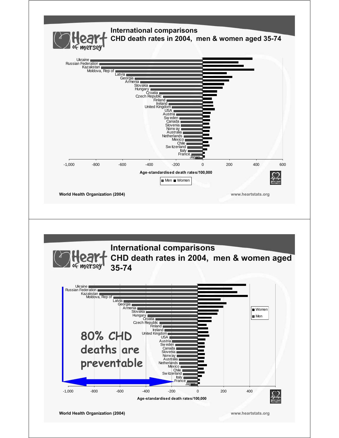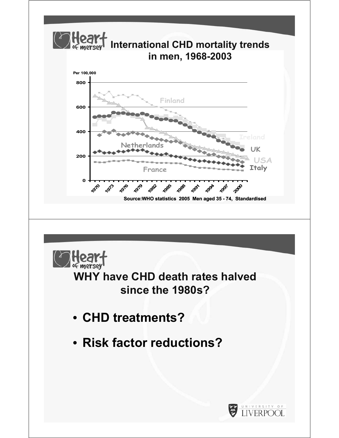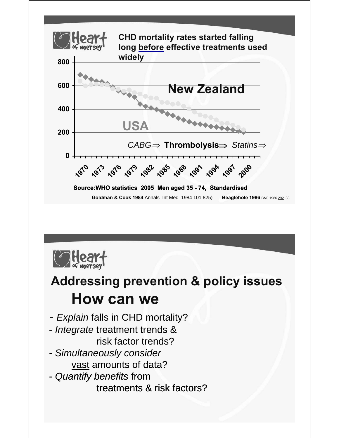



# **Addressing prevention & policy issues How can we**

- *Explain* falls in CHD mortality?
- *Integrate* treatment trends & risk factor trends?
- *Simultaneously consider* vast amounts of data?
- *Quantify benefits* from

treatments & risk factors?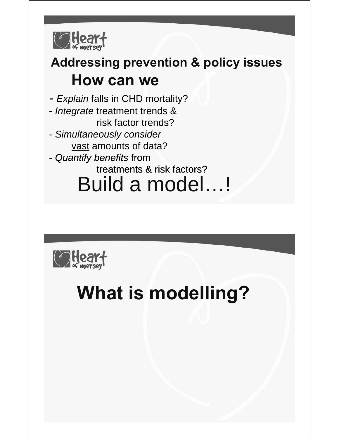

# **Addressing prevention & policy issues How can we**

- *Explain* falls in CHD mortality?

- *Integrate* treatment trends & risk factor trends?
- *Simultaneously consider* vast amounts of data?
- *Quantify benefits* from

treatments & risk factors?

Build a model…!



# **What is modelling?**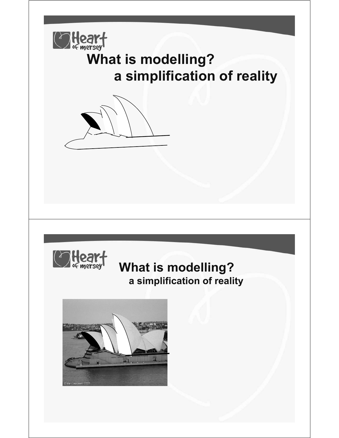

# **What is modelling? a simplification of reality**





## **What is modelling? a simplification of reality**

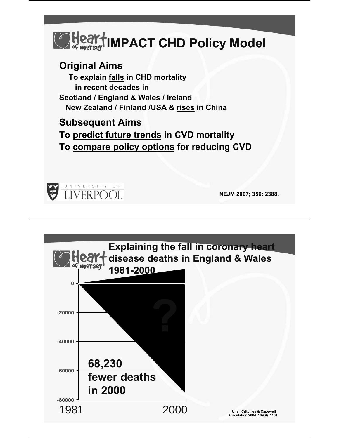

#### **Original Aims**

**To explain falls in CHD mortality in recent decades in S tl d / E l d & W l / I l d Scotland / England & Wales / Ireland New Zealand / Finland /USA & rises in China**

**Subsequent Aims Subsequent**

**To predict future trends in CVD mortality To compare policy options compare policy for reducing CVD for reducing**



**NEJM 2007; 356: 2388**.

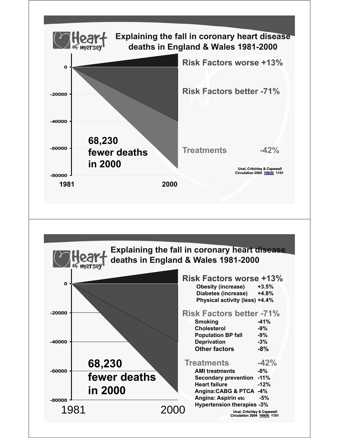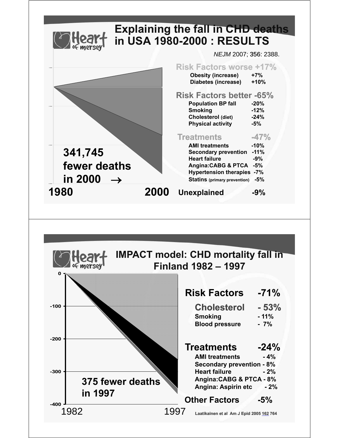

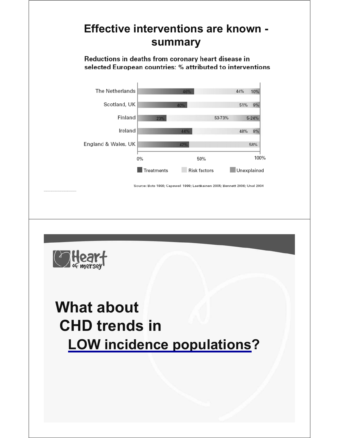## **Effective interventions are known summary**

Reductions in deaths from coronary heart disease in selected European countries: % attributed to interventions



Source: Bots 1996; Capewel 1999; Laatkainen 2005; Bennett 2006; Unal 2004



# **What about CHD trends in LOW** incidence populations?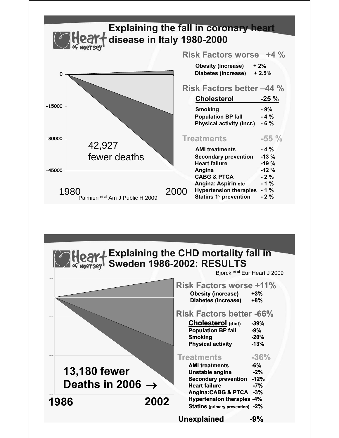

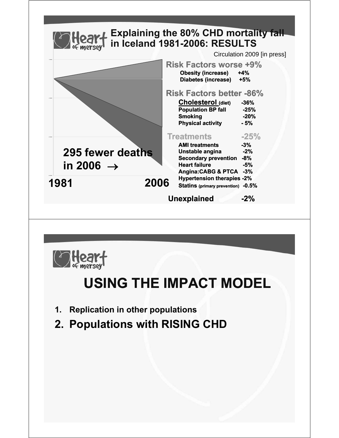

- **1. Replication in other populations**
- **2. Populations with RISING CHD**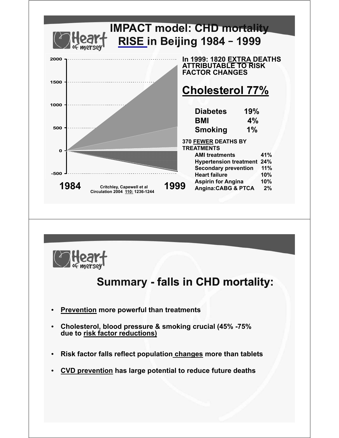



### **Summary - falls in CHD mortality:**

- **Prevention more powerful than treatments**
- **Cholesterol, blood pressure & smoking crucial (45% -75% due to risk factor reductions)**
- **Risk factor falls reflect population changes more than tablets**
- **CVD prevention has large potential to reduce future deaths**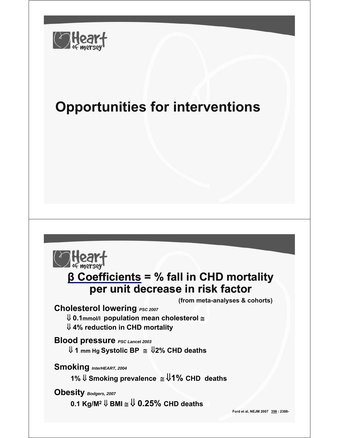

# **Opportunities for interventions**



#### **β Coefficients = % fall in CHD mortality per unit decrease in risk factor per unit decrease in risk**

**(from meta-analyses & cohorts)**

**Cholesterol lowering PSC 2007** 

⇓ **0.1mmol/l population mean cholesterol** ≅ ⇓ **4% reduction in CHD mortality**

**Blood pressure Blood** *PSC Lancet 2003 PSC Lancet* ⇓ **1 mm Hg Systolic BP** ≅ ⇓**2% CHD deaths**

**Smoking** *InterHEART 2004 InterHEART,* 

**1%** ⇓ **Smoking prevalence** ≅ ⇓**1% CHD deaths**

**Obesity** *Bodgers, 2007* 

**0.1 Kg/M2** ⇓ **BMI** ≅ ⇓ **0.25% CHD deaths**

**Ford et al, NEJM 2007 356 : 2388-**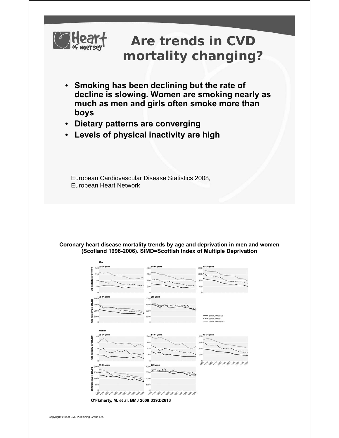